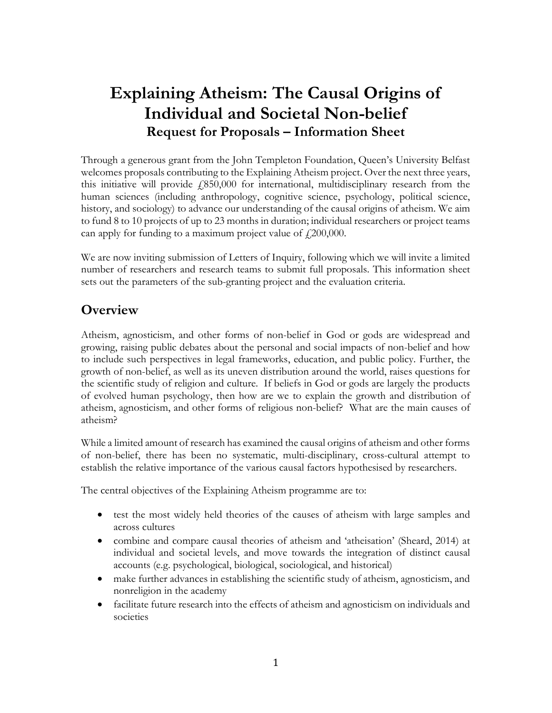# Explaining Atheism: The Causal Origins of Individual and Societal Non-belief Request for Proposals – Information Sheet

Through a generous grant from the John Templeton Foundation, Queen's University Belfast welcomes proposals contributing to the Explaining Atheism project. Over the next three years, this initiative will provide  $f(850,000)$  for international, multidisciplinary research from the human sciences (including anthropology, cognitive science, psychology, political science, history, and sociology) to advance our understanding of the causal origins of atheism. We aim to fund 8 to 10 projects of up to 23 months in duration; individual researchers or project teams can apply for funding to a maximum project value of  $\ell$  200,000.

We are now inviting submission of Letters of Inquiry, following which we will invite a limited number of researchers and research teams to submit full proposals. This information sheet sets out the parameters of the sub-granting project and the evaluation criteria.

## **Overview**

Atheism, agnosticism, and other forms of non-belief in God or gods are widespread and growing, raising public debates about the personal and social impacts of non-belief and how to include such perspectives in legal frameworks, education, and public policy. Further, the growth of non-belief, as well as its uneven distribution around the world, raises questions for the scientific study of religion and culture. If beliefs in God or gods are largely the products of evolved human psychology, then how are we to explain the growth and distribution of atheism, agnosticism, and other forms of religious non-belief? What are the main causes of atheism?

While a limited amount of research has examined the causal origins of atheism and other forms of non-belief, there has been no systematic, multi-disciplinary, cross-cultural attempt to establish the relative importance of the various causal factors hypothesised by researchers.

The central objectives of the Explaining Atheism programme are to:

- test the most widely held theories of the causes of atheism with large samples and across cultures
- combine and compare causal theories of atheism and 'atheisation' (Sheard, 2014) at individual and societal levels, and move towards the integration of distinct causal accounts (e.g. psychological, biological, sociological, and historical)
- make further advances in establishing the scientific study of atheism, agnosticism, and nonreligion in the academy
- facilitate future research into the effects of atheism and agnosticism on individuals and societies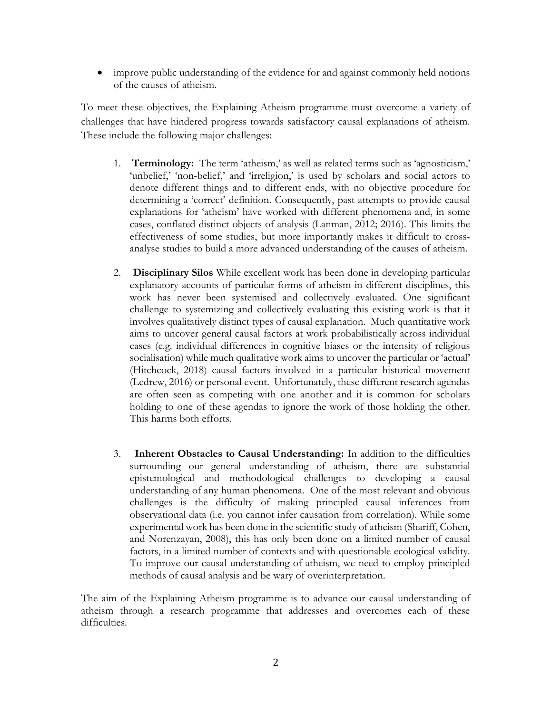improve public understanding of the evidence for and against commonly held notions of the causes of atheism.

To meet these objectives, the Explaining Atheism programme must overcome a variety of challenges that have hindered progress towards satisfactory causal explanations of atheism. These include the following major challenges:

- 1. Terminology: The term 'atheism,' as well as related terms such as 'agnosticism,' 'unbelief,' 'non-belief,' and 'irreligion,' is used by scholars and social actors to denote different things and to different ends, with no objective procedure for determining a 'correct' definition. Consequently, past attempts to provide causal explanations for 'atheism' have worked with different phenomena and, in some cases, conflated distinct objects of analysis (Lanman, 2012; 2016). This limits the effectiveness of some studies, but more importantly makes it difficult to crossanalyse studies to build a more advanced understanding of the causes of atheism.
- 2. Disciplinary Silos While excellent work has been done in developing particular explanatory accounts of particular forms of atheism in different disciplines, this work has never been systemised and collectively evaluated. One significant challenge to systemizing and collectively evaluating this existing work is that it involves qualitatively distinct types of causal explanation. Much quantitative work aims to uncover general causal factors at work probabilistically across individual cases (e.g. individual differences in cognitive biases or the intensity of religious socialisation) while much qualitative work aims to uncover the particular or 'actual' (Hitchcock, 2018) causal factors involved in a particular historical movement (Ledrew, 2016) or personal event. Unfortunately, these different research agendas are often seen as competing with one another and it is common for scholars holding to one of these agendas to ignore the work of those holding the other. This harms both efforts.
- 3. Inherent Obstacles to Causal Understanding: In addition to the difficulties surrounding our general understanding of atheism, there are substantial epistemological and methodological challenges to developing a causal understanding of any human phenomena. One of the most relevant and obvious challenges is the difficulty of making principled causal inferences from observational data (i.e. you cannot infer causation from correlation). While some experimental work has been done in the scientific study of atheism (Shariff, Cohen, and Norenzayan, 2008), this has only been done on a limited number of causal factors, in a limited number of contexts and with questionable ecological validity. To improve our causal understanding of atheism, we need to employ principled methods of causal analysis and be wary of overinterpretation.

The aim of the Explaining Atheism programme is to advance our causal understanding of atheism through a research programme that addresses and overcomes each of these difficulties.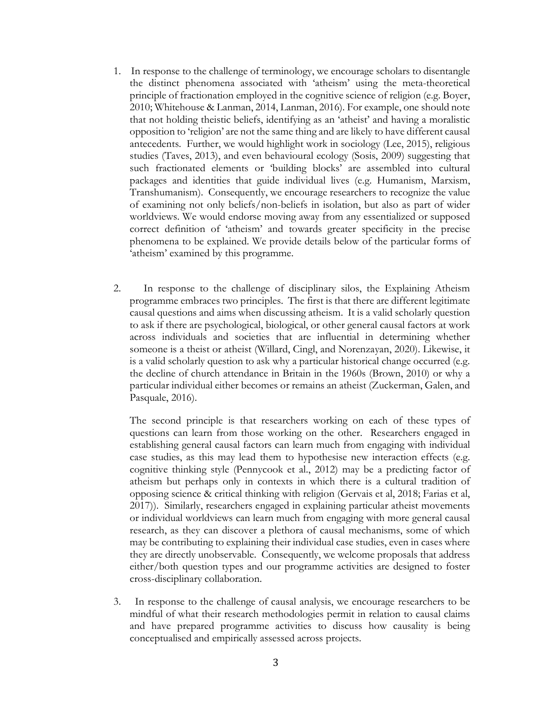- 1. In response to the challenge of terminology, we encourage scholars to disentangle the distinct phenomena associated with 'atheism' using the meta-theoretical principle of fractionation employed in the cognitive science of religion (e.g. Boyer, 2010; Whitehouse & Lanman, 2014, Lanman, 2016). For example, one should note that not holding theistic beliefs, identifying as an 'atheist' and having a moralistic opposition to 'religion' are not the same thing and are likely to have different causal antecedents. Further, we would highlight work in sociology (Lee, 2015), religious studies (Taves, 2013), and even behavioural ecology (Sosis, 2009) suggesting that such fractionated elements or 'building blocks' are assembled into cultural packages and identities that guide individual lives (e.g. Humanism, Marxism, Transhumanism). Consequently, we encourage researchers to recognize the value of examining not only beliefs/non-beliefs in isolation, but also as part of wider worldviews. We would endorse moving away from any essentialized or supposed correct definition of 'atheism' and towards greater specificity in the precise phenomena to be explained. We provide details below of the particular forms of 'atheism' examined by this programme.
- 2. In response to the challenge of disciplinary silos, the Explaining Atheism programme embraces two principles. The first is that there are different legitimate causal questions and aims when discussing atheism. It is a valid scholarly question to ask if there are psychological, biological, or other general causal factors at work across individuals and societies that are influential in determining whether someone is a theist or atheist (Willard, Cingl, and Norenzayan, 2020). Likewise, it is a valid scholarly question to ask why a particular historical change occurred (e.g. the decline of church attendance in Britain in the 1960s (Brown, 2010) or why a particular individual either becomes or remains an atheist (Zuckerman, Galen, and Pasquale, 2016).

The second principle is that researchers working on each of these types of questions can learn from those working on the other. Researchers engaged in establishing general causal factors can learn much from engaging with individual case studies, as this may lead them to hypothesise new interaction effects (e.g. cognitive thinking style (Pennycook et al., 2012) may be a predicting factor of atheism but perhaps only in contexts in which there is a cultural tradition of opposing science & critical thinking with religion (Gervais et al, 2018; Farias et al, 2017)). Similarly, researchers engaged in explaining particular atheist movements or individual worldviews can learn much from engaging with more general causal research, as they can discover a plethora of causal mechanisms, some of which may be contributing to explaining their individual case studies, even in cases where they are directly unobservable. Consequently, we welcome proposals that address either/both question types and our programme activities are designed to foster cross-disciplinary collaboration.

3. In response to the challenge of causal analysis, we encourage researchers to be mindful of what their research methodologies permit in relation to causal claims and have prepared programme activities to discuss how causality is being conceptualised and empirically assessed across projects.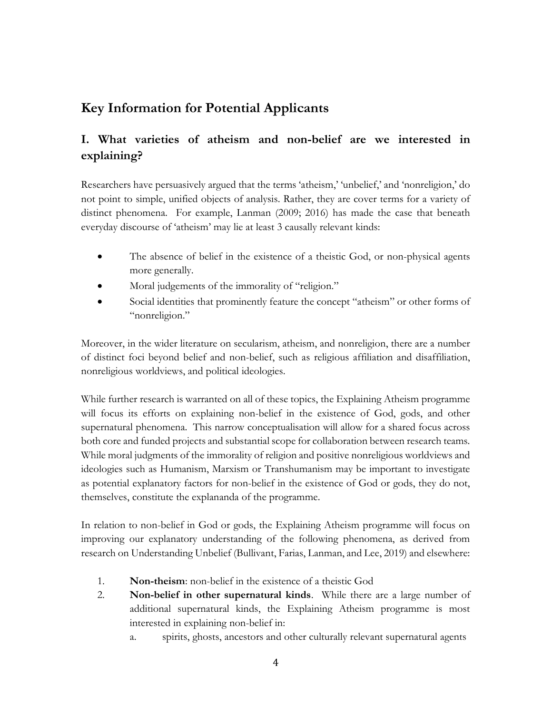## Key Information for Potential Applicants

## I. What varieties of atheism and non-belief are we interested in explaining?

Researchers have persuasively argued that the terms 'atheism,' 'unbelief,' and 'nonreligion,' do not point to simple, unified objects of analysis. Rather, they are cover terms for a variety of distinct phenomena. For example, Lanman (2009; 2016) has made the case that beneath everyday discourse of 'atheism' may lie at least 3 causally relevant kinds:

- The absence of belief in the existence of a theistic God, or non-physical agents more generally.
- Moral judgements of the immorality of "religion."
- Social identities that prominently feature the concept "atheism" or other forms of "nonreligion."

Moreover, in the wider literature on secularism, atheism, and nonreligion, there are a number of distinct foci beyond belief and non-belief, such as religious affiliation and disaffiliation, nonreligious worldviews, and political ideologies.

While further research is warranted on all of these topics, the Explaining Atheism programme will focus its efforts on explaining non-belief in the existence of God, gods, and other supernatural phenomena. This narrow conceptualisation will allow for a shared focus across both core and funded projects and substantial scope for collaboration between research teams. While moral judgments of the immorality of religion and positive nonreligious worldviews and ideologies such as Humanism, Marxism or Transhumanism may be important to investigate as potential explanatory factors for non-belief in the existence of God or gods, they do not, themselves, constitute the explananda of the programme.

In relation to non-belief in God or gods, the Explaining Atheism programme will focus on improving our explanatory understanding of the following phenomena, as derived from research on Understanding Unbelief (Bullivant, Farias, Lanman, and Lee, 2019) and elsewhere:

- 1. Non-theism: non-belief in the existence of a theistic God
- 2. Non-belief in other supernatural kinds. While there are a large number of additional supernatural kinds, the Explaining Atheism programme is most interested in explaining non-belief in:
	- a. spirits, ghosts, ancestors and other culturally relevant supernatural agents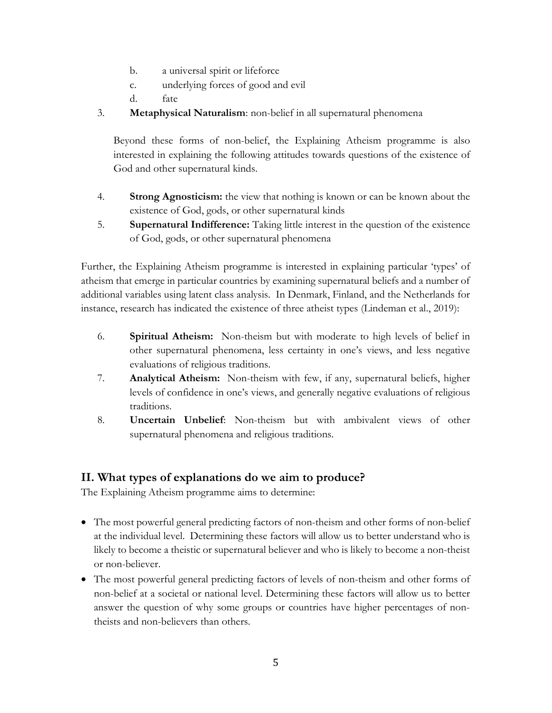- b. a universal spirit or lifeforce
- c. underlying forces of good and evil
- d. fate
- 3. Metaphysical Naturalism: non-belief in all supernatural phenomena

Beyond these forms of non-belief, the Explaining Atheism programme is also interested in explaining the following attitudes towards questions of the existence of God and other supernatural kinds.

- 4. **Strong Agnosticism:** the view that nothing is known or can be known about the existence of God, gods, or other supernatural kinds
- 5. Supernatural Indifference: Taking little interest in the question of the existence of God, gods, or other supernatural phenomena

Further, the Explaining Atheism programme is interested in explaining particular 'types' of atheism that emerge in particular countries by examining supernatural beliefs and a number of additional variables using latent class analysis. In Denmark, Finland, and the Netherlands for instance, research has indicated the existence of three atheist types (Lindeman et al., 2019):

- 6. Spiritual Atheism: Non-theism but with moderate to high levels of belief in other supernatural phenomena, less certainty in one's views, and less negative evaluations of religious traditions.
- 7. Analytical Atheism: Non-theism with few, if any, supernatural beliefs, higher levels of confidence in one's views, and generally negative evaluations of religious traditions.
- 8. Uncertain Unbelief: Non-theism but with ambivalent views of other supernatural phenomena and religious traditions.

## II. What types of explanations do we aim to produce?

The Explaining Atheism programme aims to determine:

- The most powerful general predicting factors of non-theism and other forms of non-belief at the individual level. Determining these factors will allow us to better understand who is likely to become a theistic or supernatural believer and who is likely to become a non-theist or non-believer.
- The most powerful general predicting factors of levels of non-theism and other forms of non-belief at a societal or national level. Determining these factors will allow us to better answer the question of why some groups or countries have higher percentages of nontheists and non-believers than others.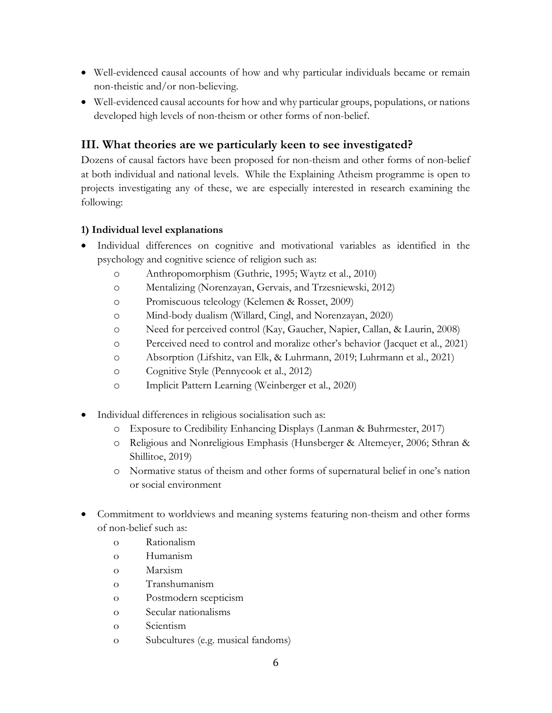- Well-evidenced causal accounts of how and why particular individuals became or remain non-theistic and/or non-believing.
- Well-evidenced causal accounts for how and why particular groups, populations, or nations developed high levels of non-theism or other forms of non-belief.

### III. What theories are we particularly keen to see investigated?

Dozens of causal factors have been proposed for non-theism and other forms of non-belief at both individual and national levels. While the Explaining Atheism programme is open to projects investigating any of these, we are especially interested in research examining the following:

#### 1) Individual level explanations

- Individual differences on cognitive and motivational variables as identified in the psychology and cognitive science of religion such as:
	- o Anthropomorphism (Guthrie, 1995; Waytz et al., 2010)
	- o Mentalizing (Norenzayan, Gervais, and Trzesniewski, 2012)
	- o Promiscuous teleology (Kelemen & Rosset, 2009)
	- o Mind-body dualism (Willard, Cingl, and Norenzayan, 2020)
	- o Need for perceived control (Kay, Gaucher, Napier, Callan, & Laurin, 2008)
	- o Perceived need to control and moralize other's behavior (Jacquet et al., 2021)
	- o Absorption (Lifshitz, van Elk, & Luhrmann, 2019; Luhrmann et al., 2021)
	- o Cognitive Style (Pennycook et al., 2012)
	- o Implicit Pattern Learning (Weinberger et al., 2020)
- Individual differences in religious socialisation such as:
	- o Exposure to Credibility Enhancing Displays (Lanman & Buhrmester, 2017)
	- o Religious and Nonreligious Emphasis (Hunsberger & Altemeyer, 2006; Sthran & Shillitoe, 2019)
	- o Normative status of theism and other forms of supernatural belief in one's nation or social environment
- Commitment to worldviews and meaning systems featuring non-theism and other forms of non-belief such as:
	- o Rationalism
	- o Humanism
	- o Marxism
	- o Transhumanism
	- o Postmodern scepticism
	- o Secular nationalisms
	- o Scientism
	- o Subcultures (e.g. musical fandoms)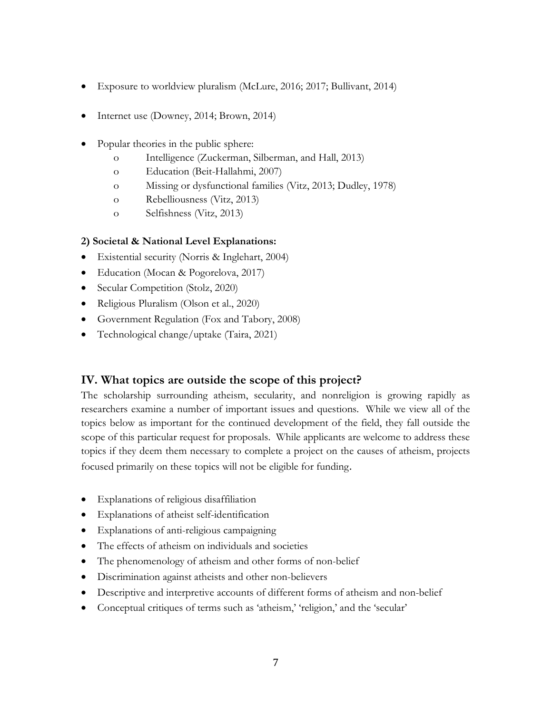- Exposure to worldview pluralism (McLure, 2016; 2017; Bullivant, 2014)
- Internet use (Downey, 2014; Brown, 2014)
- Popular theories in the public sphere:
	- o Intelligence (Zuckerman, Silberman, and Hall, 2013)
	- o Education (Beit-Hallahmi, 2007)
	- o Missing or dysfunctional families (Vitz, 2013; Dudley, 1978)
	- o Rebelliousness (Vitz, 2013)
	- o Selfishness (Vitz, 2013)

#### 2) Societal & National Level Explanations:

- Existential security (Norris & Inglehart, 2004)
- Education (Mocan & Pogorelova, 2017)
- Secular Competition (Stolz, 2020)
- Religious Pluralism (Olson et al., 2020)
- Government Regulation (Fox and Tabory, 2008)
- Technological change/uptake (Taira, 2021)

#### IV. What topics are outside the scope of this project?

The scholarship surrounding atheism, secularity, and nonreligion is growing rapidly as researchers examine a number of important issues and questions. While we view all of the topics below as important for the continued development of the field, they fall outside the scope of this particular request for proposals. While applicants are welcome to address these topics if they deem them necessary to complete a project on the causes of atheism, projects focused primarily on these topics will not be eligible for funding.

- Explanations of religious disaffiliation
- Explanations of atheist self-identification
- Explanations of anti-religious campaigning
- The effects of atheism on individuals and societies
- The phenomenology of atheism and other forms of non-belief
- Discrimination against atheists and other non-believers
- Descriptive and interpretive accounts of different forms of atheism and non-belief
- Conceptual critiques of terms such as 'atheism,' 'religion,' and the 'secular'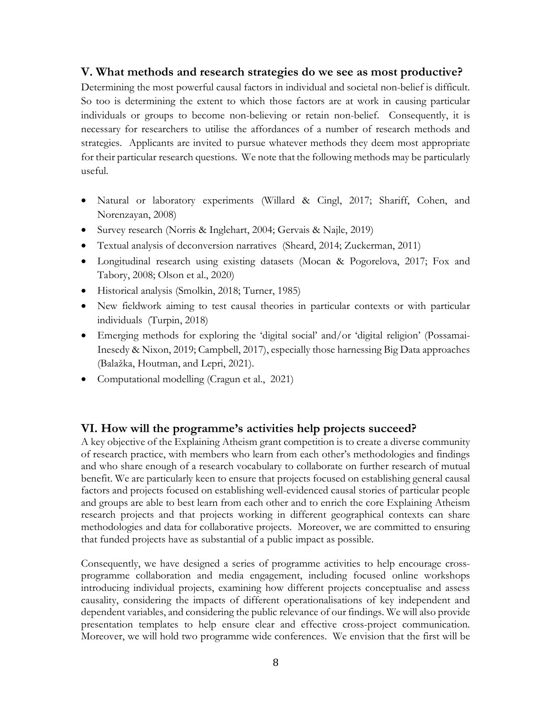#### V. What methods and research strategies do we see as most productive?

Determining the most powerful causal factors in individual and societal non-belief is difficult. So too is determining the extent to which those factors are at work in causing particular individuals or groups to become non-believing or retain non-belief. Consequently, it is necessary for researchers to utilise the affordances of a number of research methods and strategies. Applicants are invited to pursue whatever methods they deem most appropriate for their particular research questions. We note that the following methods may be particularly useful.

- Natural or laboratory experiments (Willard & Cingl, 2017; Shariff, Cohen, and Norenzayan, 2008)
- Survey research (Norris & Inglehart, 2004; Gervais & Najle, 2019)
- Textual analysis of deconversion narratives (Sheard, 2014; Zuckerman, 2011)
- Longitudinal research using existing datasets (Mocan & Pogorelova, 2017; Fox and Tabory, 2008; Olson et al., 2020)
- Historical analysis (Smolkin, 2018; Turner, 1985)
- New fieldwork aiming to test causal theories in particular contexts or with particular individuals (Turpin, 2018)
- Emerging methods for exploring the 'digital social' and/or 'digital religion' (Possamai-Inesedy & Nixon, 2019; Campbell, 2017), especially those harnessing Big Data approaches (Balažka, Houtman, and Lepri, 2021).
- Computational modelling (Cragun et al., 2021)

#### VI. How will the programme's activities help projects succeed?

A key objective of the Explaining Atheism grant competition is to create a diverse community of research practice, with members who learn from each other's methodologies and findings and who share enough of a research vocabulary to collaborate on further research of mutual benefit. We are particularly keen to ensure that projects focused on establishing general causal factors and projects focused on establishing well-evidenced causal stories of particular people and groups are able to best learn from each other and to enrich the core Explaining Atheism research projects and that projects working in different geographical contexts can share methodologies and data for collaborative projects. Moreover, we are committed to ensuring that funded projects have as substantial of a public impact as possible.

Consequently, we have designed a series of programme activities to help encourage crossprogramme collaboration and media engagement, including focused online workshops introducing individual projects, examining how different projects conceptualise and assess causality, considering the impacts of different operationalisations of key independent and dependent variables, and considering the public relevance of our findings. We will also provide presentation templates to help ensure clear and effective cross-project communication. Moreover, we will hold two programme wide conferences. We envision that the first will be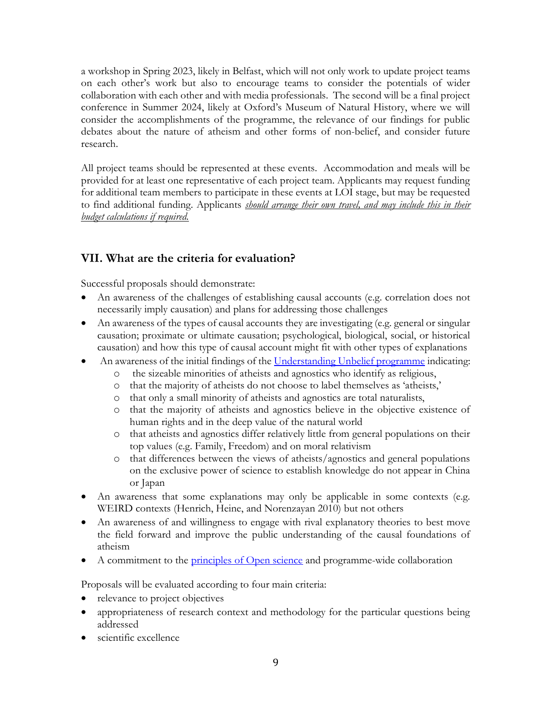a workshop in Spring 2023, likely in Belfast, which will not only work to update project teams on each other's work but also to encourage teams to consider the potentials of wider collaboration with each other and with media professionals. The second will be a final project conference in Summer 2024, likely at Oxford's Museum of Natural History, where we will consider the accomplishments of the programme, the relevance of our findings for public debates about the nature of atheism and other forms of non-belief, and consider future research.

All project teams should be represented at these events. Accommodation and meals will be provided for at least one representative of each project team. Applicants may request funding for additional team members to participate in these events at LOI stage, but may be requested to find additional funding. Applicants *should arrange their own travel, and may include this in their* budget calculations if required.

## VII. What are the criteria for evaluation?

Successful proposals should demonstrate:

- An awareness of the challenges of establishing causal accounts (e.g. correlation does not necessarily imply causation) and plans for addressing those challenges
- An awareness of the types of causal accounts they are investigating (e.g. general or singular causation; proximate or ultimate causation; psychological, biological, social, or historical causation) and how this type of causal account might fit with other types of explanations
- An awareness of the initial findings of the Understanding Unbelief programme indicating:
	- o the sizeable minorities of atheists and agnostics who identify as religious,
	- o that the majority of atheists do not choose to label themselves as 'atheists,'
	- o that only a small minority of atheists and agnostics are total naturalists,
	- o that the majority of atheists and agnostics believe in the objective existence of human rights and in the deep value of the natural world
	- o that atheists and agnostics differ relatively little from general populations on their top values (e.g. Family, Freedom) and on moral relativism
	- o that differences between the views of atheists/agnostics and general populations on the exclusive power of science to establish knowledge do not appear in China or Japan
- An awareness that some explanations may only be applicable in some contexts (e.g. WEIRD contexts (Henrich, Heine, and Norenzayan 2010) but not others
- An awareness of and willingness to engage with rival explanatory theories to best move the field forward and improve the public understanding of the causal foundations of atheism
- A commitment to the principles of Open science and programme-wide collaboration

Proposals will be evaluated according to four main criteria:

- relevance to project objectives
- appropriateness of research context and methodology for the particular questions being addressed
- scientific excellence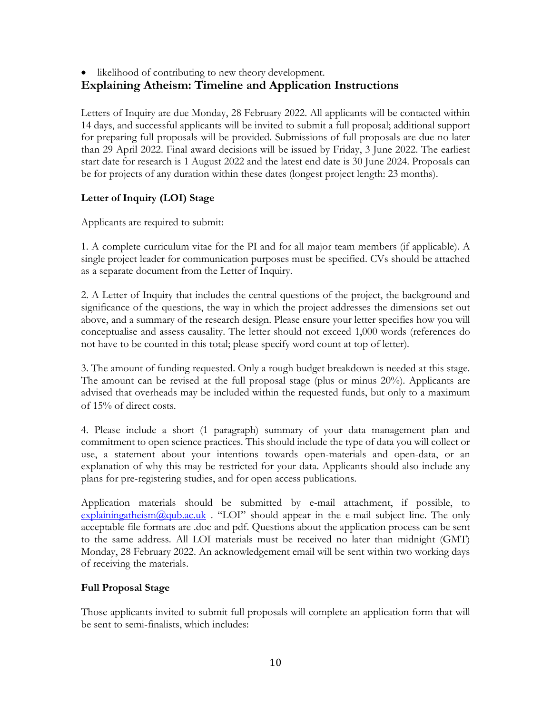#### • likelihood of contributing to new theory development. Explaining Atheism: Timeline and Application Instructions

Letters of Inquiry are due Monday, 28 February 2022. All applicants will be contacted within 14 days, and successful applicants will be invited to submit a full proposal; additional support for preparing full proposals will be provided. Submissions of full proposals are due no later than 29 April 2022. Final award decisions will be issued by Friday, 3 June 2022. The earliest start date for research is 1 August 2022 and the latest end date is 30 June 2024. Proposals can be for projects of any duration within these dates (longest project length: 23 months).

#### Letter of Inquiry (LOI) Stage

Applicants are required to submit:

1. A complete curriculum vitae for the PI and for all major team members (if applicable). A single project leader for communication purposes must be specified. CVs should be attached as a separate document from the Letter of Inquiry.

2. A Letter of Inquiry that includes the central questions of the project, the background and significance of the questions, the way in which the project addresses the dimensions set out above, and a summary of the research design. Please ensure your letter specifies how you will conceptualise and assess causality. The letter should not exceed 1,000 words (references do not have to be counted in this total; please specify word count at top of letter).

3. The amount of funding requested. Only a rough budget breakdown is needed at this stage. The amount can be revised at the full proposal stage (plus or minus 20%). Applicants are advised that overheads may be included within the requested funds, but only to a maximum of 15% of direct costs.

4. Please include a short (1 paragraph) summary of your data management plan and commitment to open science practices. This should include the type of data you will collect or use, a statement about your intentions towards open-materials and open-data, or an explanation of why this may be restricted for your data. Applicants should also include any plans for pre-registering studies, and for open access publications.

Application materials should be submitted by e-mail attachment, if possible, to  $explainingatheism@qub.ac.uk$  . "LOI" should appear in the e-mail subject line. The only acceptable file formats are .doc and pdf. Questions about the application process can be sent to the same address. All LOI materials must be received no later than midnight (GMT) Monday, 28 February 2022. An acknowledgement email will be sent within two working days of receiving the materials.

#### Full Proposal Stage

Those applicants invited to submit full proposals will complete an application form that will be sent to semi-finalists, which includes: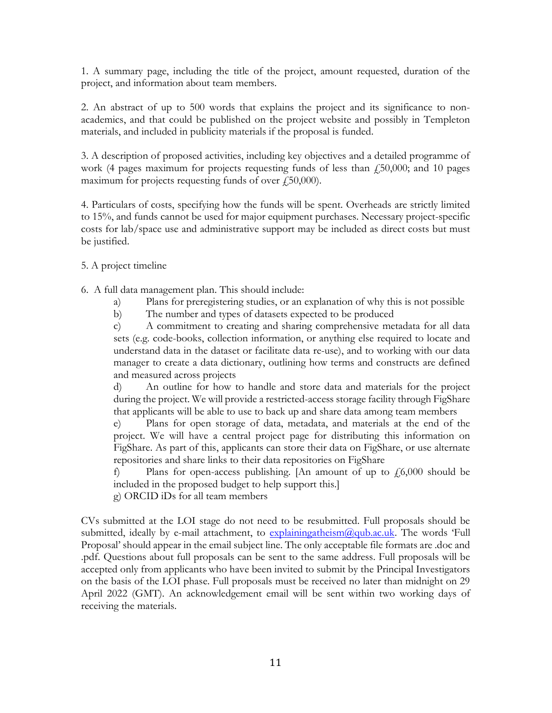1. A summary page, including the title of the project, amount requested, duration of the project, and information about team members.

2. An abstract of up to 500 words that explains the project and its significance to nonacademics, and that could be published on the project website and possibly in Templeton materials, and included in publicity materials if the proposal is funded.

3. A description of proposed activities, including key objectives and a detailed programme of work (4 pages maximum for projects requesting funds of less than  $f_1$ 50,000; and 10 pages maximum for projects requesting funds of over  $\ell$ 50,000).

4. Particulars of costs, specifying how the funds will be spent. Overheads are strictly limited to 15%, and funds cannot be used for major equipment purchases. Necessary project-specific costs for lab/space use and administrative support may be included as direct costs but must be justified.

5. A project timeline

6. A full data management plan. This should include:

- a) Plans for preregistering studies, or an explanation of why this is not possible
- b) The number and types of datasets expected to be produced

c) A commitment to creating and sharing comprehensive metadata for all data sets (e.g. code-books, collection information, or anything else required to locate and understand data in the dataset or facilitate data re-use), and to working with our data manager to create a data dictionary, outlining how terms and constructs are defined and measured across projects

d) An outline for how to handle and store data and materials for the project during the project. We will provide a restricted-access storage facility through FigShare that applicants will be able to use to back up and share data among team members

e) Plans for open storage of data, metadata, and materials at the end of the project. We will have a central project page for distributing this information on FigShare. As part of this, applicants can store their data on FigShare, or use alternate repositories and share links to their data repositories on FigShare

f) Plans for open-access publishing. [An amount of up to  $\ell$ ,6,000 should be included in the proposed budget to help support this.]

g) ORCID iDs for all team members

CVs submitted at the LOI stage do not need to be resubmitted. Full proposals should be submitted, ideally by e-mail attachment, to  $\exp$  lainingatheism $\omega$  qub.ac.uk. The words 'Full Proposal' should appear in the email subject line. The only acceptable file formats are .doc and .pdf. Questions about full proposals can be sent to the same address. Full proposals will be accepted only from applicants who have been invited to submit by the Principal Investigators on the basis of the LOI phase. Full proposals must be received no later than midnight on 29 April 2022 (GMT). An acknowledgement email will be sent within two working days of receiving the materials.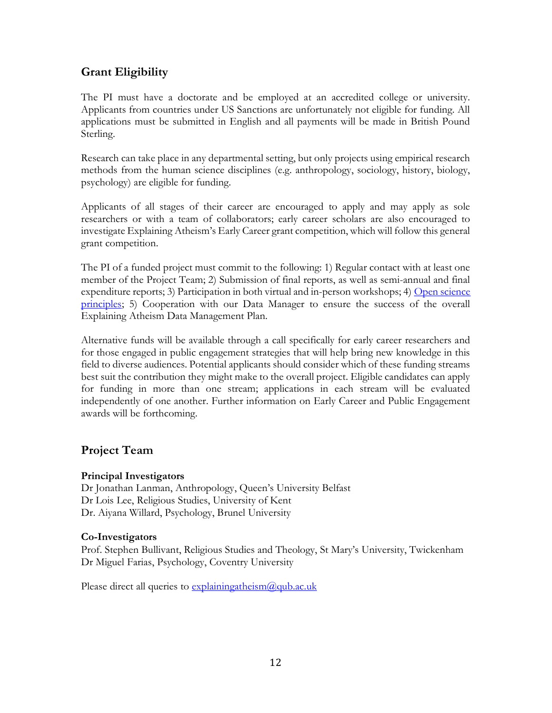## Grant Eligibility

The PI must have a doctorate and be employed at an accredited college or university. Applicants from countries under US Sanctions are unfortunately not eligible for funding. All applications must be submitted in English and all payments will be made in British Pound Sterling.

Research can take place in any departmental setting, but only projects using empirical research methods from the human science disciplines (e.g. anthropology, sociology, history, biology, psychology) are eligible for funding.

Applicants of all stages of their career are encouraged to apply and may apply as sole researchers or with a team of collaborators; early career scholars are also encouraged to investigate Explaining Atheism's Early Career grant competition, which will follow this general grant competition.

The PI of a funded project must commit to the following: 1) Regular contact with at least one member of the Project Team; 2) Submission of final reports, as well as semi-annual and final expenditure reports; 3) Participation in both virtual and in-person workshops; 4) Open science principles; 5) Cooperation with our Data Manager to ensure the success of the overall Explaining Atheism Data Management Plan.

Alternative funds will be available through a call specifically for early career researchers and for those engaged in public engagement strategies that will help bring new knowledge in this field to diverse audiences. Potential applicants should consider which of these funding streams best suit the contribution they might make to the overall project. Eligible candidates can apply for funding in more than one stream; applications in each stream will be evaluated independently of one another. Further information on Early Career and Public Engagement awards will be forthcoming.

## Project Team

#### Principal Investigators

Dr Jonathan Lanman, Anthropology, Queen's University Belfast Dr Lois Lee, Religious Studies, University of Kent Dr. Aiyana Willard, Psychology, Brunel University

#### Co-Investigators

Prof. Stephen Bullivant, Religious Studies and Theology, St Mary's University, Twickenham Dr Miguel Farias, Psychology, Coventry University

Please direct all queries to  $explainingatheism@qub.ac.uk$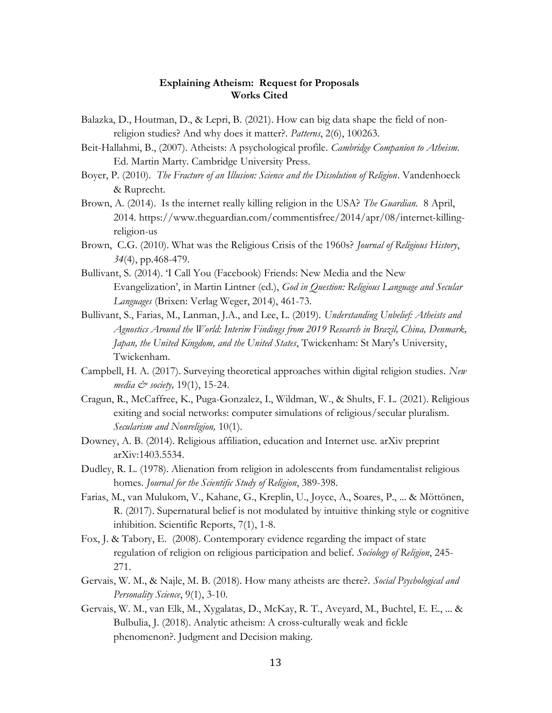#### Explaining Atheism: Request for Proposals Works Cited

- Balazka, D., Houtman, D., & Lepri, B. (2021). How can big data shape the field of nonreligion studies? And why does it matter?. Patterns, 2(6), 100263.
- Beit-Hallahmi, B., (2007). Atheists: A psychological profile. Cambridge Companion to Atheism. Ed. Martin Marty. Cambridge University Press.
- Boyer, P. (2010). The Fracture of an Illusion: Science and the Dissolution of Religion. Vandenhoeck & Ruprecht.
- Brown, A. (2014). Is the internet really killing religion in the USA? The Guardian. 8 April, 2014. https://www.theguardian.com/commentisfree/2014/apr/08/internet-killingreligion-us
- Brown, C.G. (2010). What was the Religious Crisis of the 1960s? Journal of Religious History,  $34(4)$ , pp. 468-479.
- Bullivant, S. (2014). 'I Call You (Facebook) Friends: New Media and the New Evangelization', in Martin Lintner (ed.), God in Question: Religious Language and Secular Languages (Brixen: Verlag Weger, 2014), 461-73.
- Bullivant, S., Farias, M., Lanman, J.A., and Lee, L. (2019). Understanding Unbelief: Atheists and Agnostics Around the World: Interim Findings from 2019 Research in Brazil, China, Denmark, Japan, the United Kingdom, and the United States, Twickenham: St Mary's University, Twickenham.
- Campbell, H. A. (2017). Surveying theoretical approaches within digital religion studies. New media  $\mathcal{Q}$  society, 19(1), 15-24.
- Cragun, R., McCaffree, K., Puga-Gonzalez, I., Wildman, W., & Shults, F. L. (2021). Religious exiting and social networks: computer simulations of religious/secular pluralism. Secularism and Nonreligion, 10(1).
- Downey, A. B. (2014). Religious affiliation, education and Internet use. arXiv preprint arXiv:1403.5534.
- Dudley, R. L. (1978). Alienation from religion in adolescents from fundamentalist religious homes. Journal for the Scientific Study of Religion, 389-398.
- Farias, M., van Mulukom, V., Kahane, G., Kreplin, U., Joyce, A., Soares, P., ... & Möttönen, R. (2017). Supernatural belief is not modulated by intuitive thinking style or cognitive inhibition. Scientific Reports, 7(1), 1-8.
- Fox, J. & Tabory, E. (2008). Contemporary evidence regarding the impact of state regulation of religion on religious participation and belief. Sociology of Religion, 245-271.
- Gervais, W. M., & Najle, M. B. (2018). How many atheists are there?. Social Psychological and Personality Science, 9(1), 3-10.
- Gervais, W. M., van Elk, M., Xygalatas, D., McKay, R. T., Aveyard, M., Buchtel, E. E., ... & Bulbulia, J. (2018). Analytic atheism: A cross-culturally weak and fickle phenomenon?. Judgment and Decision making.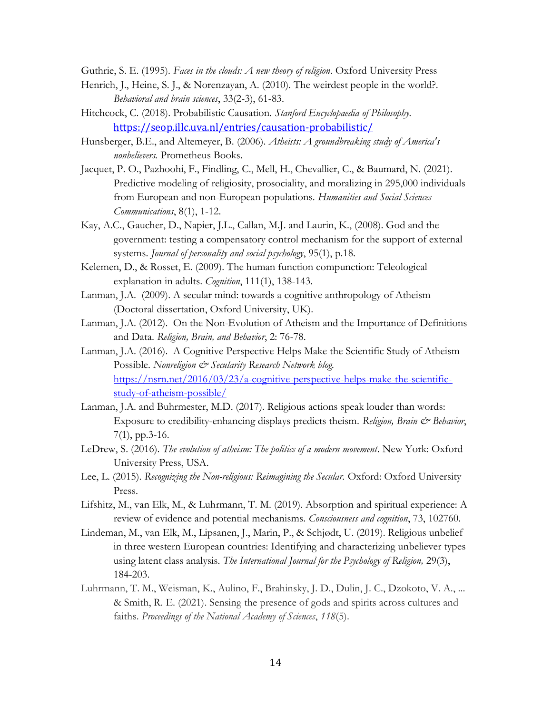Guthrie, S. E. (1995). Faces in the clouds: A new theory of religion. Oxford University Press

- Henrich, J., Heine, S. J., & Norenzayan, A. (2010). The weirdest people in the world?. Behavioral and brain sciences, 33(2-3), 61-83.
- Hitchcock, C. (2018). Probabilistic Causation. Stanford Encyclopaedia of Philosophy. https://seop.illc.uva.nl/entries/causation-probabilistic/
- Hunsberger, B.E., and Altemeyer, B. (2006). Atheists: A groundbreaking study of America's nonbelievers. Prometheus Books.
- Jacquet, P. O., Pazhoohi, F., Findling, C., Mell, H., Chevallier, C., & Baumard, N. (2021). Predictive modeling of religiosity, prosociality, and moralizing in 295,000 individuals from European and non-European populations. Humanities and Social Sciences Communications, 8(1), 1-12.
- Kay, A.C., Gaucher, D., Napier, J.L., Callan, M.J. and Laurin, K., (2008). God and the government: testing a compensatory control mechanism for the support of external systems. Journal of personality and social psychology, 95(1), p.18.
- Kelemen, D., & Rosset, E. (2009). The human function compunction: Teleological explanation in adults. Cognition, 111(1), 138-143.
- Lanman, J.A. (2009). A secular mind: towards a cognitive anthropology of Atheism (Doctoral dissertation, Oxford University, UK).
- Lanman, J.A. (2012). On the Non-Evolution of Atheism and the Importance of Definitions and Data. Religion, Brain, and Behavior, 2: 76-78.
- Lanman, J.A. (2016). A Cognitive Perspective Helps Make the Scientific Study of Atheism Possible. Nonreligion & Secularity Research Network blog. https://nsrn.net/2016/03/23/a-cognitive-perspective-helps-make-the-scientificstudy-of-atheism-possible/
- Lanman, J.A. and Buhrmester, M.D. (2017). Religious actions speak louder than words: Exposure to credibility-enhancing displays predicts theism. Religion, Brain & Behavior, 7(1), pp.3-16.
- LeDrew, S. (2016). The evolution of atheism: The politics of a modern movement. New York: Oxford University Press, USA.
- Lee, L. (2015). Recognizing the Non-religious: Reimagining the Secular. Oxford: Oxford University Press.
- Lifshitz, M., van Elk, M., & Luhrmann, T. M. (2019). Absorption and spiritual experience: A review of evidence and potential mechanisms. Consciousness and cognition, 73, 102760.
- Lindeman, M., van Elk, M., Lipsanen, J., Marin, P., & Schjødt, U. (2019). Religious unbelief in three western European countries: Identifying and characterizing unbeliever types using latent class analysis. The International Journal for the Psychology of Religion, 29(3), 184-203.
- Luhrmann, T. M., Weisman, K., Aulino, F., Brahinsky, J. D., Dulin, J. C., Dzokoto, V. A., ... & Smith, R. E. (2021). Sensing the presence of gods and spirits across cultures and faiths. Proceedings of the National Academy of Sciences, 118(5).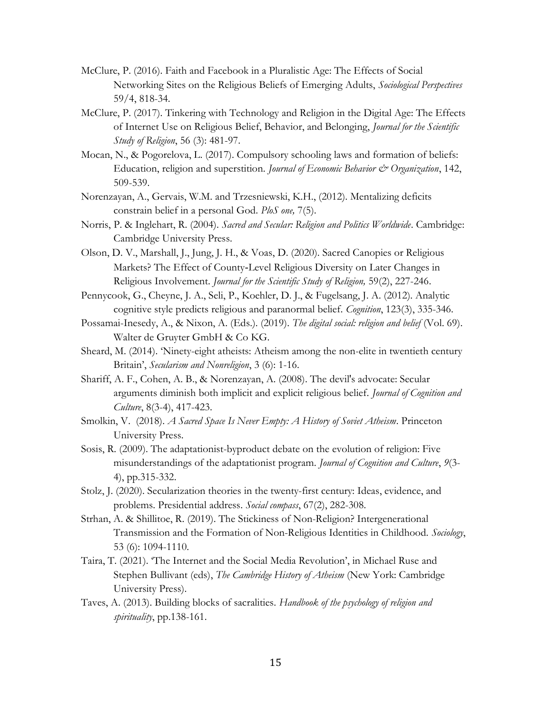- McClure, P. (2016). Faith and Facebook in a Pluralistic Age: The Effects of Social Networking Sites on the Religious Beliefs of Emerging Adults, Sociological Perspectives 59/4, 818-34.
- McClure, P. (2017). Tinkering with Technology and Religion in the Digital Age: The Effects of Internet Use on Religious Belief, Behavior, and Belonging, Journal for the Scientific Study of Religion, 56 (3): 481-97.
- Mocan, N., & Pogorelova, L. (2017). Compulsory schooling laws and formation of beliefs: Education, religion and superstition. *Journal of Economic Behavior & Organization*, 142, 509-539.
- Norenzayan, A., Gervais, W.M. and Trzesniewski, K.H., (2012). Mentalizing deficits constrain belief in a personal God. PloS one, 7(5).
- Norris, P. & Inglehart, R. (2004). Sacred and Secular: Religion and Politics Worldwide. Cambridge: Cambridge University Press.
- Olson, D. V., Marshall, J., Jung, J. H., & Voas, D. (2020). Sacred Canopies or Religious Markets? The Effect of County‐Level Religious Diversity on Later Changes in Religious Involvement. Journal for the Scientific Study of Religion, 59(2), 227-246.
- Pennycook, G., Cheyne, J. A., Seli, P., Koehler, D. J., & Fugelsang, J. A. (2012). Analytic cognitive style predicts religious and paranormal belief. Cognition, 123(3), 335-346.
- Possamai-Inesedy, A., & Nixon, A. (Eds.). (2019). The digital social: religion and belief (Vol. 69). Walter de Gruyter GmbH & Co KG.
- Sheard, M. (2014). 'Ninety-eight atheists: Atheism among the non-elite in twentieth century Britain', Secularism and Nonreligion, 3 (6): 1-16.
- Shariff, A. F., Cohen, A. B., & Norenzayan, A. (2008). The devil's advocate: Secular arguments diminish both implicit and explicit religious belief. Journal of Cognition and Culture, 8(3-4), 417-423.
- Smolkin, V. (2018). A Sacred Space Is Never Empty: A History of Soviet Atheism. Princeton University Press.
- Sosis, R. (2009). The adaptationist-byproduct debate on the evolution of religion: Five misunderstandings of the adaptationist program. Journal of Cognition and Culture, 9(3- 4), pp.315-332.
- Stolz, J. (2020). Secularization theories in the twenty-first century: Ideas, evidence, and problems. Presidential address. Social compass, 67(2), 282-308.
- Strhan, A. & Shillitoe, R. (2019). The Stickiness of Non-Religion? Intergenerational Transmission and the Formation of Non-Religious Identities in Childhood. Sociology, 53 (6): 1094-1110.
- Taira, T. (2021). 'The Internet and the Social Media Revolution', in Michael Ruse and Stephen Bullivant (eds), The Cambridge History of Atheism (New York: Cambridge University Press).
- Taves, A. (2013). Building blocks of sacralities. Handbook of the psychology of religion and spirituality, pp.138-161.